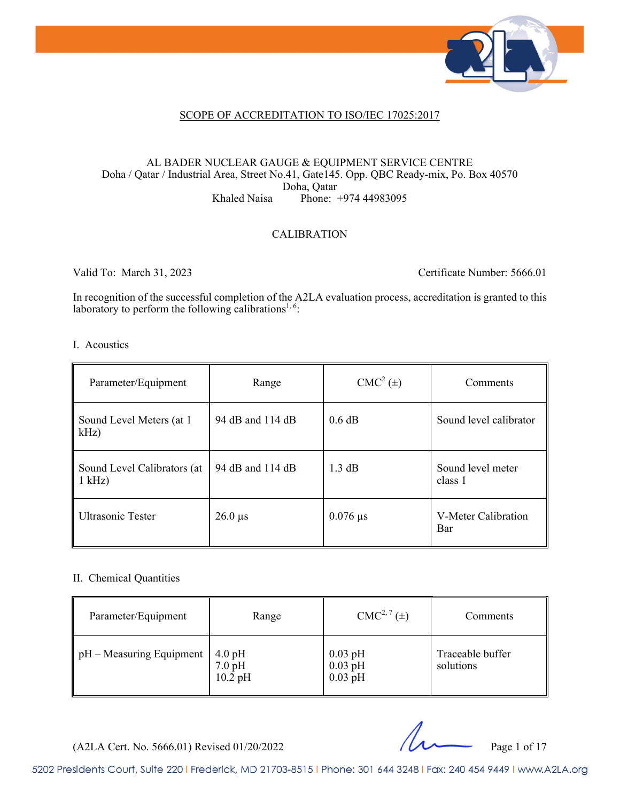

#### SCOPE OF ACCREDITATION TO ISO/IEC 17025:2017

#### AL BADER NUCLEAR GAUGE & EQUIPMENT SERVICE CENTRE Doha / Qatar / Industrial Area, Street No.41, Gate145. Opp. QBC Ready-mix, Po. Box 40570 Doha, Qatar Khaled Naisa Phone: +974 44983095

#### CALIBRATION

Valid To: March 31, 2023 Certificate Number: 5666.01

In recognition of the successful completion of the A2LA evaluation process, accreditation is granted to this laboratory to perform the following calibrations<sup>1, 6</sup>:

#### I. Acoustics

| Parameter/Equipment                     | Range            | $CMC2(\pm)$      | Comments                     |
|-----------------------------------------|------------------|------------------|------------------------------|
| Sound Level Meters (at 1<br>$kHz$ )     | 94 dB and 114 dB | 0.6 dB           | Sound level calibrator       |
| Sound Level Calibrators (at<br>$1$ kHz) | 94 dB and 114 dB | $1.3 \text{ dB}$ | Sound level meter<br>class 1 |
| Ultrasonic Tester                       | $26.0 \,\mu s$   | $0.076 \,\mu s$  | V-Meter Calibration<br>Bar   |

#### II. Chemical Quantities

| Parameter/Equipment                  | Range                                              | $CMC2, 7(\pm)$                      | Comments                      |
|--------------------------------------|----------------------------------------------------|-------------------------------------|-------------------------------|
| $\parallel$ pH – Measuring Equipment | $4.0$ pH<br>$7.0\text{ pH}$<br>$10.2\,\mathrm{pH}$ | $0.03$ pH<br>$0.03$ pH<br>$0.03$ pH | Traceable buffer<br>solutions |

(A2LA Cert. No. 5666.01) Revised 01/20/2022 Page 1 of 17

5202 Presidents Court, Suite 220 | Frederick, MD 21703-8515 | Phone: 301 644 3248 | Fax: 240 454 9449 | www.A2LA.org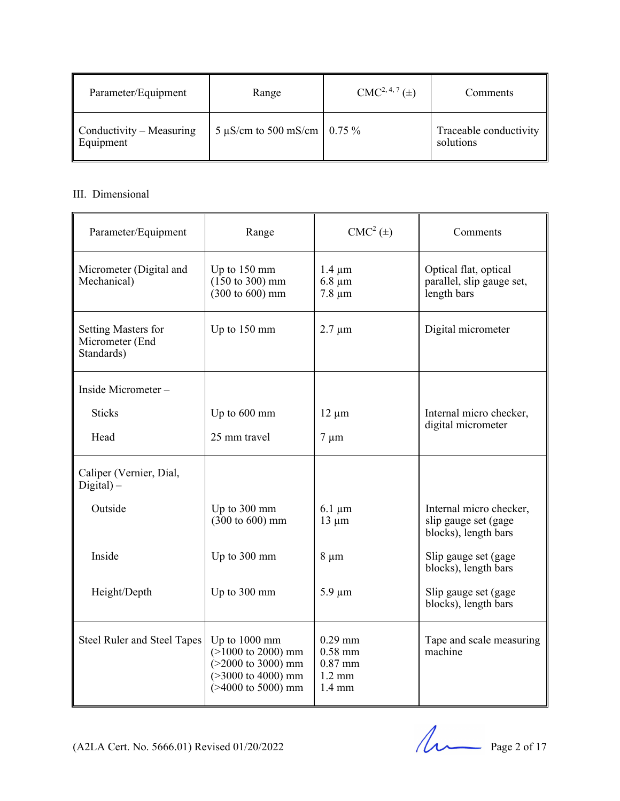| Parameter/Equipment                   | Range                         | $CMC2, 4, 7(\pm)$ | <b>Comments</b>                     |
|---------------------------------------|-------------------------------|-------------------|-------------------------------------|
| Conductivity – Measuring<br>Equipment | 5 µS/cm to 500 mS/cm   0.75 % |                   | Traceable conductivity<br>solutions |

#### III. Dimensional

| Parameter/Equipment                                  | Range                                                                                                         | $CMC2(\pm)$                                                                 | Comments                                                                |
|------------------------------------------------------|---------------------------------------------------------------------------------------------------------------|-----------------------------------------------------------------------------|-------------------------------------------------------------------------|
| Micrometer (Digital and<br>Mechanical)               | Up to $150 \text{ mm}$<br>$(150 \text{ to } 300) \text{ mm}$<br>$(300 \text{ to } 600) \text{ mm}$            | $1.4 \mu m$<br>$6.8 \mu m$<br>$7.8 \mu m$                                   | Optical flat, optical<br>parallel, slip gauge set,<br>length bars       |
| Setting Masters for<br>Micrometer (End<br>Standards) | Up to 150 mm                                                                                                  | $2.7 \mu m$                                                                 | Digital micrometer                                                      |
| Inside Micrometer-                                   |                                                                                                               |                                                                             |                                                                         |
| <b>Sticks</b>                                        | Up to 600 mm                                                                                                  | $12 \mu m$                                                                  | Internal micro checker,<br>digital micrometer                           |
| Head                                                 | 25 mm travel                                                                                                  | $7 \mu m$                                                                   |                                                                         |
| Caliper (Vernier, Dial,<br>$Digital$ ) –             |                                                                                                               |                                                                             |                                                                         |
| Outside                                              | Up to 300 mm<br>$(300 \text{ to } 600) \text{ mm}$                                                            | $6.1 \mu m$<br>$13 \mu m$                                                   | Internal micro checker,<br>slip gauge set (gage<br>blocks), length bars |
| Inside                                               | Up to 300 mm                                                                                                  | $8 \mu m$                                                                   | Slip gauge set (gage<br>blocks), length bars                            |
| Height/Depth                                         | Up to 300 mm                                                                                                  | $5.9 \mu m$                                                                 | Slip gauge set (gage<br>blocks), length bars                            |
| Steel Ruler and Steel Tapes                          | Up to 1000 mm<br>$(>1000$ to 2000) mm<br>$(>2000$ to 3000) mm<br>$(>3000$ to 4000) mm<br>$(>4000$ to 5000) mm | $0.29$ mm<br>$0.58$ mm<br>$0.87$ mm<br>$1.2 \text{ mm}$<br>$1.4 \text{ mm}$ | Tape and scale measuring<br>machine                                     |

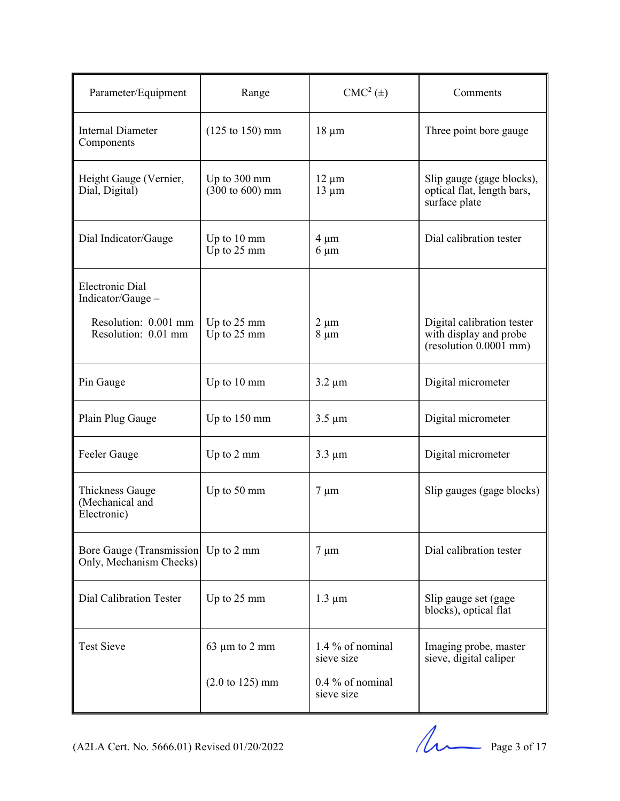| Parameter/Equipment                                  | Range                                                        | $CMC2(\pm)$                    | Comments                                                                       |
|------------------------------------------------------|--------------------------------------------------------------|--------------------------------|--------------------------------------------------------------------------------|
| <b>Internal Diameter</b><br>Components               | $(125 \text{ to } 150) \text{ mm}$                           | $18 \mu m$                     | Three point bore gauge                                                         |
| Height Gauge (Vernier,<br>Dial, Digital)             | Up to $300 \text{ mm}$<br>$(300 \text{ to } 600) \text{ mm}$ | $12 \mu m$<br>$13 \mu m$       | Slip gauge (gage blocks),<br>optical flat, length bars,<br>surface plate       |
| Dial Indicator/Gauge                                 | Up to $10 \text{ mm}$<br>Up to 25 mm                         | $4 \mu m$<br>$6 \mu m$         | Dial calibration tester                                                        |
| <b>Electronic Dial</b><br>Indicator/Gauge -          |                                                              |                                |                                                                                |
| Resolution: 0.001 mm<br>Resolution: 0.01 mm          | Up to 25 mm<br>Up to 25 mm                                   | $2 \mu m$<br>$8 \mu m$         | Digital calibration tester<br>with display and probe<br>(resolution 0.0001 mm) |
| Pin Gauge                                            | Up to $10 \text{ mm}$                                        | $3.2 \mu m$                    | Digital micrometer                                                             |
| Plain Plug Gauge                                     | Up to $150 \text{ mm}$                                       | $3.5 \mu m$                    | Digital micrometer                                                             |
| Feeler Gauge                                         | Up to 2 mm                                                   | $3.3 \mu m$                    | Digital micrometer                                                             |
| Thickness Gauge<br>(Mechanical and<br>Electronic)    | Up to 50 mm                                                  | $7 \mu m$                      | Slip gauges (gage blocks)                                                      |
| Bore Gauge (Transmission)<br>Only, Mechanism Checks) | Up to $2 \text{ mm}$                                         | $7 \mu m$                      | Dial calibration tester                                                        |
| <b>Dial Calibration Tester</b>                       | Up to 25 mm                                                  | $1.3 \mu m$                    | Slip gauge set (gage<br>blocks), optical flat                                  |
| <b>Test Sieve</b>                                    | $63 \mu m$ to $2 \mu m$                                      | 1.4 % of nominal<br>sieve size | Imaging probe, master<br>sieve, digital caliper                                |
|                                                      | $(2.0 \text{ to } 125) \text{ mm}$                           | 0.4 % of nominal<br>sieve size |                                                                                |

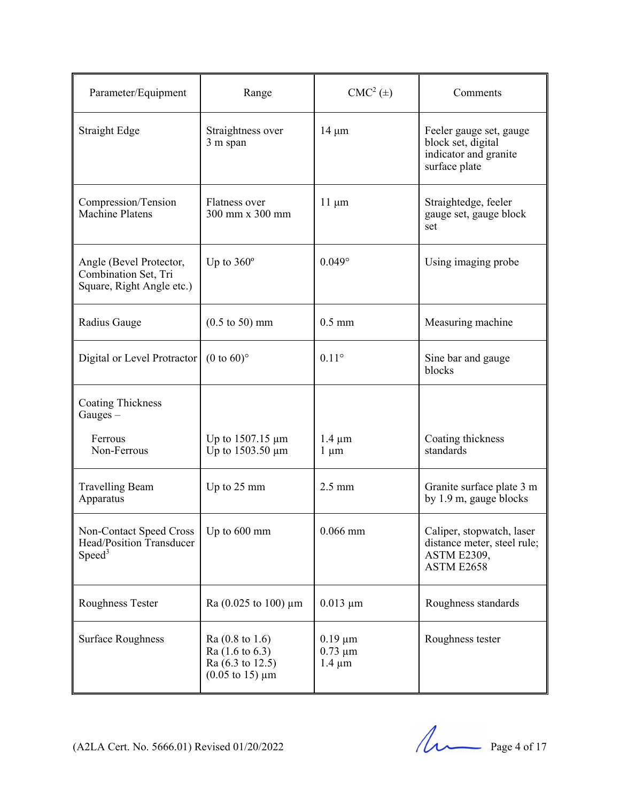| Parameter/Equipment                                                              | Range                                                                                                       | $CMC2(\pm)$                                 | Comments                                                                                     |
|----------------------------------------------------------------------------------|-------------------------------------------------------------------------------------------------------------|---------------------------------------------|----------------------------------------------------------------------------------------------|
| <b>Straight Edge</b>                                                             | Straightness over<br>3 m span                                                                               | $14 \mu m$                                  | Feeler gauge set, gauge<br>block set, digital<br>indicator and granite<br>surface plate      |
| Compression/Tension<br>Machine Platens                                           | Flatness over<br>300 mm x 300 mm                                                                            | $11 \mu m$                                  | Straightedge, feeler<br>gauge set, gauge block<br>set                                        |
| Angle (Bevel Protector,<br>Combination Set, Tri<br>Square, Right Angle etc.)     | Up to $360^\circ$                                                                                           | $0.049^\circ$                               | Using imaging probe                                                                          |
| Radius Gauge                                                                     | $(0.5 \text{ to } 50) \text{ mm}$                                                                           | $0.5$ mm                                    | Measuring machine                                                                            |
| Digital or Level Protractor                                                      | $(0 \text{ to } 60)$ °                                                                                      | $0.11^\circ$                                | Sine bar and gauge<br>blocks                                                                 |
| <b>Coating Thickness</b><br>$Gauges -$                                           |                                                                                                             |                                             |                                                                                              |
| Ferrous<br>Non-Ferrous                                                           | Up to $1507.15 \mu m$<br>Up to 1503.50 µm                                                                   | $1.4 \mu m$<br>$1 \mu m$                    | Coating thickness<br>standards                                                               |
| <b>Travelling Beam</b><br>Apparatus                                              | Up to 25 mm                                                                                                 | $2.5 \text{ mm}$                            | Granite surface plate 3 m<br>by 1.9 m, gauge blocks                                          |
| <b>Non-Contact Speed Cross</b><br>Head/Position Transducer<br>Speed <sup>3</sup> | Up to $600$ mm                                                                                              | $0.066$ mm                                  | Caliper, stopwatch, laser<br>distance meter, steel rule;<br><b>ASTM E2309,</b><br>ASTM E2658 |
| Roughness Tester                                                                 | Ra $(0.025 \text{ to } 100) \mu m$                                                                          | $0.013 \mu m$                               | Roughness standards                                                                          |
| <b>Surface Roughness</b>                                                         | $Ra(0.8 \text{ to } 1.6)$<br>$Ra(1.6 \text{ to } 6.3)$<br>Ra (6.3 to 12.5)<br>$(0.05 \text{ to } 15) \mu m$ | $0.19 \mu m$<br>$0.73 \mu m$<br>$1.4 \mu m$ | Roughness tester                                                                             |

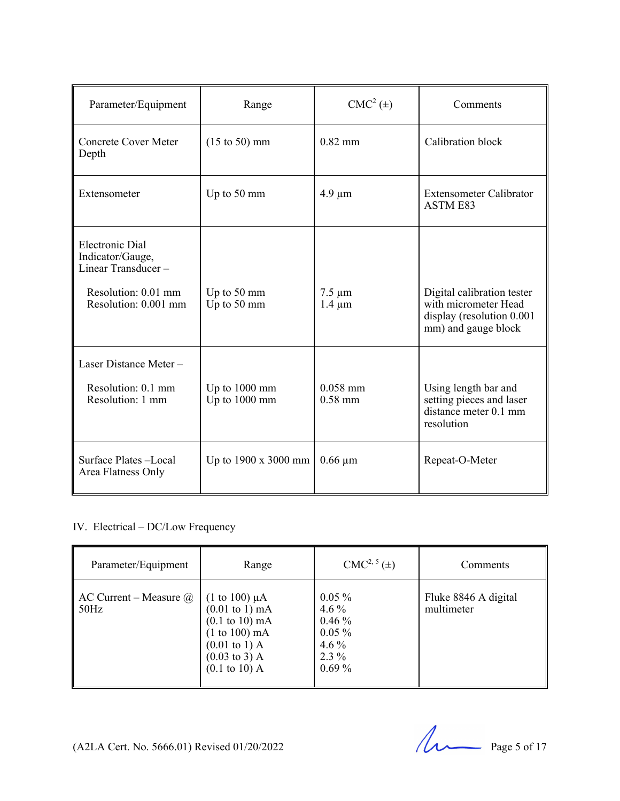| Parameter/Equipment                                                                                             | Range                            | $CMC2(\pm)$                | Comments                                                                                               |
|-----------------------------------------------------------------------------------------------------------------|----------------------------------|----------------------------|--------------------------------------------------------------------------------------------------------|
| <b>Concrete Cover Meter</b><br>Depth                                                                            | $(15 \text{ to } 50) \text{ mm}$ | $0.82$ mm                  | Calibration block                                                                                      |
| Extensometer                                                                                                    | Up to 50 mm                      | $4.9 \mu m$                | <b>Extensometer Calibrator</b><br><b>ASTM E83</b>                                                      |
| <b>Electronic Dial</b><br>Indicator/Gauge,<br>Linear Transducer-<br>Resolution: 0.01 mm<br>Resolution: 0.001 mm | Up to 50 mm<br>Up to 50 mm       | $7.5 \mu m$<br>$1.4 \mu m$ | Digital calibration tester<br>with micrometer Head<br>display (resolution 0.001<br>mm) and gauge block |
| Laser Distance Meter-<br>Resolution: 0.1 mm<br>Resolution: 1 mm                                                 | Up to 1000 mm<br>Up to 1000 mm   | $0.058$ mm<br>$0.58$ mm    | Using length bar and<br>setting pieces and laser<br>distance meter 0.1 mm<br>resolution                |
| Surface Plates-Local<br>Area Flatness Only                                                                      | Up to $1900 \times 3000$ mm      | $0.66 \mu m$               | Repeat-O-Meter                                                                                         |

#### IV. Electrical – DC/Low Frequency

| Parameter/Equipment                               | Range                                                                                                                                                                                                       | $CMC2, 5(\pm)$                                                                | Comments                           |
|---------------------------------------------------|-------------------------------------------------------------------------------------------------------------------------------------------------------------------------------------------------------------|-------------------------------------------------------------------------------|------------------------------------|
| $\parallel$ AC Current – Measure $\omega$<br>50Hz | (1 to 100) $\mu$ A<br>$(0.01 \text{ to } 1) \text{ mA}$<br>$(0.1 \text{ to } 10) \text{ mA}$<br>$(1 to 100)$ mA<br>$(0.01 \text{ to } 1)$ A<br>$(0.03 \text{ to } 3)$ A<br>$(0.1 \text{ to } 10) \text{ A}$ | $0.05\%$<br>4.6 $%$<br>$0.46\%$<br>$0.05\%$<br>$4.6\%$<br>$2.3\%$<br>$0.69\%$ | Fluke 8846 A digital<br>multimeter |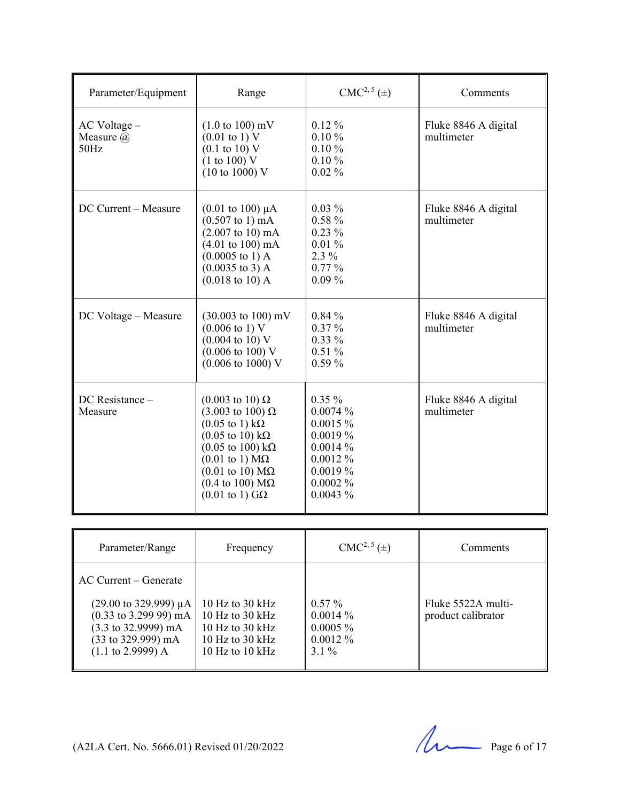| Parameter/Equipment                   | Range                                                                                                                                                                                                                                                                                                                                                    | $CMC2, 5(\pm)$                                                                                      | Comments                           |
|---------------------------------------|----------------------------------------------------------------------------------------------------------------------------------------------------------------------------------------------------------------------------------------------------------------------------------------------------------------------------------------------------------|-----------------------------------------------------------------------------------------------------|------------------------------------|
| AC Voltage -<br>Measure $(a)$<br>50Hz | $(1.0 \text{ to } 100) \text{ mV}$<br>$(0.01 \text{ to } 1) \text{ V}$<br>$(0.1 \text{ to } 10) \text{ V}$<br>(1 to 100) V<br>$(10 \text{ to } 1000)$ V                                                                                                                                                                                                  | $0.12\%$<br>$0.10 \%$<br>$0.10 \%$<br>0.10%<br>$0.02\%$                                             | Fluke 8846 A digital<br>multimeter |
| DC Current - Measure                  | $(0.01 \text{ to } 100) \mu\text{A}$<br>$(0.507 \text{ to } 1) \text{ mA}$<br>$(2.007 \text{ to } 10) \text{ mA}$<br>$(4.01 \text{ to } 100) \text{ mA}$<br>$(0.0005 \text{ to } 1) \text{ A}$<br>$(0.0035 \text{ to } 3)$ A<br>$(0.018 \text{ to } 10) \text{ A}$                                                                                       | $0.03\%$<br>$0.58 \%$<br>$0.23\%$<br>0.01%<br>$2.3\%$<br>0.77%<br>$0.09\%$                          | Fluke 8846 A digital<br>multimeter |
| DC Voltage - Measure                  | $(30.003 \text{ to } 100) \text{ mV}$<br>$(0.006 \text{ to } 1) \text{ V}$<br>$(0.004 \text{ to } 10) \text{ V}$<br>$(0.006 \text{ to } 100) \text{ V}$<br>$(0.006 \text{ to } 1000) \text{ V}$                                                                                                                                                          | $0.84\%$<br>$0.37\%$<br>$0.33\%$<br>0.51%<br>0.59%                                                  | Fluke 8846 A digital<br>multimeter |
| DC Resistance -<br>Measure            | $(0.003 \text{ to } 10) \Omega$<br>$(3.003 \text{ to } 100) \Omega$<br>$(0.05 \text{ to } 1) \text{ k}\Omega$<br>$(0.05 \text{ to } 10) \text{ k}\Omega$<br>$(0.05$ to 100) kΩ<br>$(0.01 \text{ to } 1) \text{ M}\Omega$<br>$(0.01 \text{ to } 10) \text{ M}\Omega$<br>$(0.4 \text{ to } 100) \text{ M}\Omega$<br>$(0.01 \text{ to } 1) \text{ G}\Omega$ | $0.35\%$<br>0.0074%<br>0.0015%<br>0.0019%<br>0.0014%<br>0.0012%<br>0.0019%<br>$0.0002\%$<br>0.0043% | Fluke 8846 A digital<br>multimeter |

| Parameter/Range                                                                                                                                                                                            | Frequency                                                                                                   | $CMC2, 5(\pm)$                                                 | Comments                                 |
|------------------------------------------------------------------------------------------------------------------------------------------------------------------------------------------------------------|-------------------------------------------------------------------------------------------------------------|----------------------------------------------------------------|------------------------------------------|
| $AC$ Current – Generate                                                                                                                                                                                    |                                                                                                             |                                                                |                                          |
| $(29.00 \text{ to } 329.999) \mu A$<br>$(0.33 \text{ to } 3.299 \text{ 99}) \text{ mA}$<br>$(3.3 \text{ to } 32.9999) \text{ mA}$<br>$(33 \text{ to } 329.999) \text{ mA}$<br>$(1.1 \text{ to } 2.9999)$ A | 10 Hz to $30$ kHz<br>10 Hz to 30 $kHz$<br>10 Hz to 30 $kHz$<br>10 Hz to 30 kHz<br>10 Hz to $10 \text{ kHz}$ | $0.57\%$<br>$0.0014\%$<br>$0.0005 \%$<br>$0.0012\%$<br>$3.1\%$ | Fluke 5522A multi-<br>product calibrator |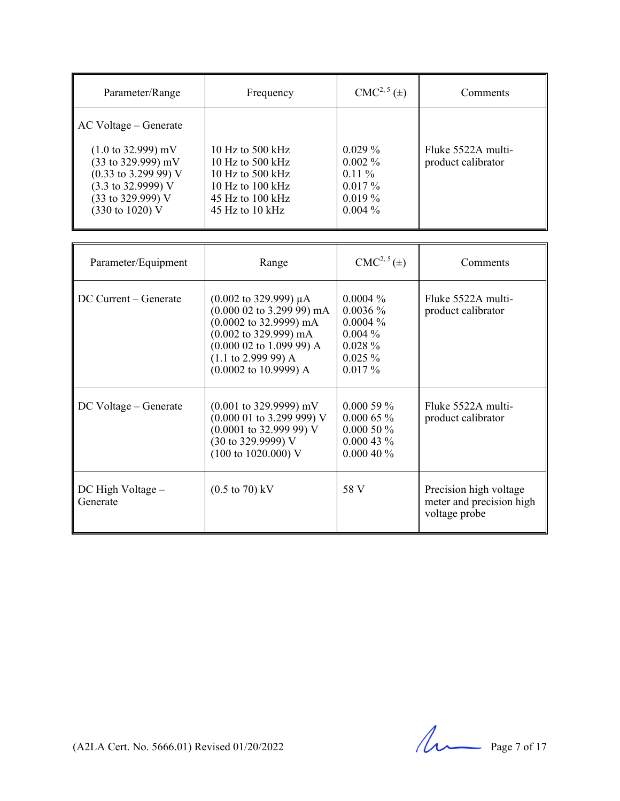| Parameter/Range                                                                                                                                                                         | Frequency                                                                                                                           | $CMC2, 5(\pm)$                                                            | Comments                                 |
|-----------------------------------------------------------------------------------------------------------------------------------------------------------------------------------------|-------------------------------------------------------------------------------------------------------------------------------------|---------------------------------------------------------------------------|------------------------------------------|
| AC Voltage – Generate                                                                                                                                                                   |                                                                                                                                     |                                                                           |                                          |
| $(1.0 \text{ to } 32.999) \text{ mV}$<br>(33 to 329.999) mV<br>$(0.33 \text{ to } 3.299 \text{ 99}) \text{ V}$<br>$(3.3 \text{ to } 32.9999)$ V<br>(33 to 329.999) V<br>(330 to 1020) V | 10 Hz to 500 kHz<br>10 Hz to 500 kHz<br>10 Hz to 500 kHz<br>10 Hz to $100 \text{ kHz}$<br>$45$ Hz to $100$ kHz<br>$45$ Hz to 10 kHz | $0.029\%$<br>$0.002\%$<br>$0.11\%$<br>$0.017\%$<br>$0.019\%$<br>$0.004\%$ | Fluke 5522A multi-<br>product calibrator |

| Parameter/Equipment               | Range                                                                                                                                                                                                                                                                           | $CMC2, 5(\pm)$                                                                               | Comments                                                            |
|-----------------------------------|---------------------------------------------------------------------------------------------------------------------------------------------------------------------------------------------------------------------------------------------------------------------------------|----------------------------------------------------------------------------------------------|---------------------------------------------------------------------|
| DC Current – Generate             | $(0.002 \text{ to } 329.999) \mu A$<br>$(0.000 02$ to 3.299 99) mA<br>$(0.0002 \text{ to } 32.9999) \text{ mA}$<br>$(0.002 \text{ to } 329.999) \text{ mA}$<br>$(0.000 02$ to 1.099 99) A<br>$(1.1 \text{ to } 2.999 \text{ 99}) A$<br>$(0.0002 \text{ to } 10.9999) \text{ A}$ | $0.0004\%$<br>$0.0036\%$<br>$0.0004\%$<br>$0.004\%$<br>$0.028 \%$<br>$0.025 \%$<br>$0.017\%$ | Fluke 5522A multi-<br>product calibrator                            |
| DC Voltage – Generate             | $(0.001 \text{ to } 329.9999) \text{ mV}$<br>$(0.000 01$ to 3.299 999) V<br>$(0.0001$ to 32.999 99) V<br>(30 to 329.9999) V<br>$(100 \text{ to } 1020.000) \text{ V}$                                                                                                           | $0.00059\%$<br>$0.00065\%$<br>$0.00050\%$<br>$0.00043\%$<br>0.00040%                         | Fluke 5522A multi-<br>product calibrator                            |
| $DC$ High Voltage $-$<br>Generate | $(0.5 \text{ to } 70) \text{ kV}$                                                                                                                                                                                                                                               | 58 V                                                                                         | Precision high voltage<br>meter and precision high<br>voltage probe |

(A2LA Cert. No. 5666.01) Revised 01/20/2022 Page 7 of 17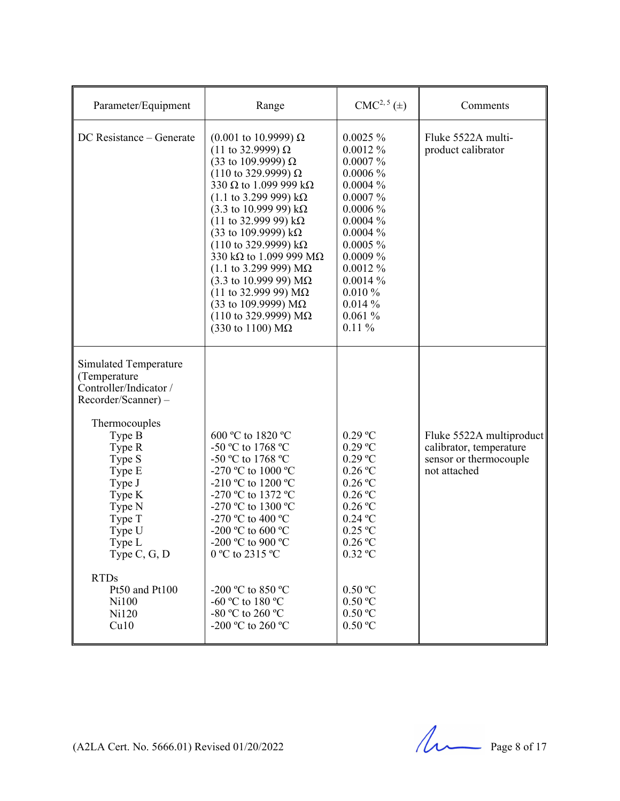| DC Resistance - Generate<br>$0.0025 \%$<br>$(0.001 \text{ to } 10.9999) \Omega$<br>Fluke 5522A multi-<br>(11 to 32.9999) $\Omega$<br>$0.0012\%$<br>product calibrator<br>(33 to 109.9999) Ω<br>$0.0007\%$<br>$0.0006~\%$<br>$(110 \text{ to } 329.9999) \Omega$<br>330 $\Omega$ to 1.099 999 k $\Omega$<br>$0.0004\%$<br>$(1.1 \text{ to } 3.299 \text{ 999}) \text{ k}\Omega$<br>$0.0007\%$<br>$(3.3 \text{ to } 10.99999) \text{ k}\Omega$<br>$0.0006\%$<br>(11 to 32.999 99) $k\Omega$<br>$0.0004\%$<br>(33 to 109.9999) $k\Omega$<br>$0.0004\%$<br>$(110 \text{ to } 329.9999) \text{ k}\Omega$<br>$0.0005 \%$<br>330 k $\Omega$ to 1.099 999 M $\Omega$<br>$0.0009\%$<br>$(1.1 \text{ to } 3.299 \text{ 999}) \text{ M}\Omega$<br>$0.0012\%$<br>$(3.3 \text{ to } 10.99999) \text{ M}\Omega$<br>$0.0014\%$<br>$(11$ to 32.999 99) ΜΩ<br>$0.010\%$<br>(33 to 109.9999) $M\Omega$<br>0.014%<br>$(110 \text{ to } 329.9999) \text{ MΩ}$<br>$0.061\%$<br>(330 to 1100) $M\Omega$<br>$0.11\%$<br>Simulated Temperature<br>(Temperature<br>Controller/Indicator /<br>Recorder/Scanner) -<br>Thermocouples<br>$0.29$ °C<br>Type B<br>600 °C to 1820 °C<br>$0.29$ °C<br>Type R<br>-50 °C to 1768 °C<br>calibrator, temperature<br>$0.29$ °C<br>Type S<br>-50 °C to 1768 °C<br>sensor or thermocouple<br>$0.26$ °C<br>Type E<br>-270 °C to 1000 °C<br>not attached<br>$0.26$ °C<br>Type J<br>-210 °C to 1200 °C<br>$0.26$ °C<br>Type K<br>-270 °C to 1372 °C<br>$0.26$ °C<br>-270 °C to 1300 °C<br>Type N<br>Type T<br>-270 °C to 400 °C<br>$0.24$ °C<br>$0.25$ °C<br>Type U<br>-200 °C to 600 °C<br>Type L<br>-200 °C to 900 °C<br>$0.26$ °C<br>0.32 °C<br>Type C, G, D<br>0 °C to 2315 °C | Parameter/Equipment | Range | $CMC2, 5(\pm)$ | Comments                 |
|-----------------------------------------------------------------------------------------------------------------------------------------------------------------------------------------------------------------------------------------------------------------------------------------------------------------------------------------------------------------------------------------------------------------------------------------------------------------------------------------------------------------------------------------------------------------------------------------------------------------------------------------------------------------------------------------------------------------------------------------------------------------------------------------------------------------------------------------------------------------------------------------------------------------------------------------------------------------------------------------------------------------------------------------------------------------------------------------------------------------------------------------------------------------------------------------------------------------------------------------------------------------------------------------------------------------------------------------------------------------------------------------------------------------------------------------------------------------------------------------------------------------------------------------------------------------------------------------------------------------------------------------------------------------------------------------|---------------------|-------|----------------|--------------------------|
|                                                                                                                                                                                                                                                                                                                                                                                                                                                                                                                                                                                                                                                                                                                                                                                                                                                                                                                                                                                                                                                                                                                                                                                                                                                                                                                                                                                                                                                                                                                                                                                                                                                                                         |                     |       |                |                          |
| <b>RTDs</b><br>Pt50 and Pt100<br>-200 °C to 850 °C<br>0.50 °C<br>-60 °C to 180 °C<br>$0.50\,^{\rm o}\mathrm{C}$<br>Ni100<br>$0.50\,^{\rm o}\mathrm{C}$<br>-80 °C to 260 °C<br>Ni120                                                                                                                                                                                                                                                                                                                                                                                                                                                                                                                                                                                                                                                                                                                                                                                                                                                                                                                                                                                                                                                                                                                                                                                                                                                                                                                                                                                                                                                                                                     |                     |       |                | Fluke 5522A multiproduct |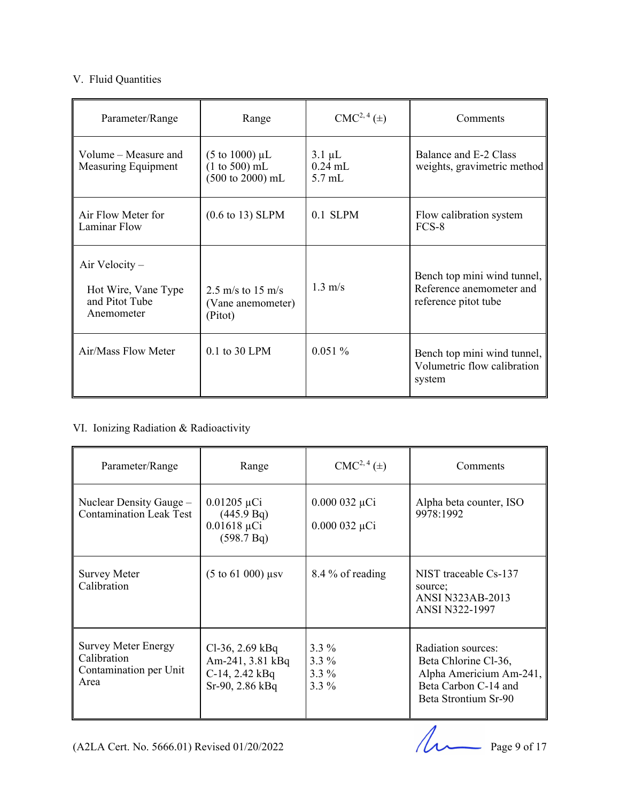#### V. Fluid Quantities

| Parameter/Range                                                         | Range                                                                                  | $CMC2, 4(\pm)$                       | Comments                                                                        |
|-------------------------------------------------------------------------|----------------------------------------------------------------------------------------|--------------------------------------|---------------------------------------------------------------------------------|
| Volume – Measure and<br>Measuring Equipment                             | $(5 \text{ to } 1000) \mu L$<br>$(1 to 500)$ mL<br>$(500 \text{ to } 2000) \text{ mL}$ | $3.1 \mu L$<br>$0.24$ mL<br>$5.7$ mL | Balance and E-2 Class<br>weights, gravimetric method                            |
| Air Flow Meter for<br>Laminar Flow                                      | $(0.6 \text{ to } 13)$ SLPM                                                            | $0.1$ SLPM                           | Flow calibration system<br>FCS-8                                                |
| Air Velocity $-$<br>Hot Wire, Vane Type<br>and Pitot Tube<br>Anemometer | 2.5 m/s to 15 m/s<br>(Vane anemometer)<br>(Pitot)                                      | $1.3 \text{ m/s}$                    | Bench top mini wind tunnel,<br>Reference anemometer and<br>reference pitot tube |
| Air/Mass Flow Meter                                                     | 0.1 to 30 LPM                                                                          | 0.051%                               | Bench top mini wind tunnel,<br>Volumetric flow calibration<br>system            |

#### VI. Ionizing Radiation & Radioactivity

| Parameter/Range                                                             | Range                                                                       | $CMC2, 4(\pm)$                           | Comments                                                                                                              |
|-----------------------------------------------------------------------------|-----------------------------------------------------------------------------|------------------------------------------|-----------------------------------------------------------------------------------------------------------------------|
| Nuclear Density Gauge –<br><b>Contamination Leak Test</b>                   | $0.01205 \mu Ci$<br>(445.9 Bq)<br>$0.01618 \mu Ci$<br>(598.7 Bq)            | $0.000032 \mu Ci$<br>$0.000032 \mu Ci$   | Alpha beta counter, ISO<br>9978:1992                                                                                  |
| <b>Survey Meter</b><br>Calibration                                          | $(5 \text{ to } 61 \text{ 000})$ µsv                                        | 8.4 % of reading                         | NIST traceable Cs-137<br>source:<br><b>ANSI N323AB-2013</b><br><b>ANSI N322-1997</b>                                  |
| <b>Survey Meter Energy</b><br>Calibration<br>Contamination per Unit<br>Area | $Cl-36$ , 2.69 kBq<br>Am-241, 3.81 kBq<br>C-14, 2.42 kBq<br>Sr-90, 2.86 kBq | $3.3\%$<br>$3.3\%$<br>$3.3\%$<br>$3.3\%$ | Radiation sources:<br>Beta Chlorine Cl-36,<br>Alpha Americium Am-241,<br>Beta Carbon C-14 and<br>Beta Strontium Sr-90 |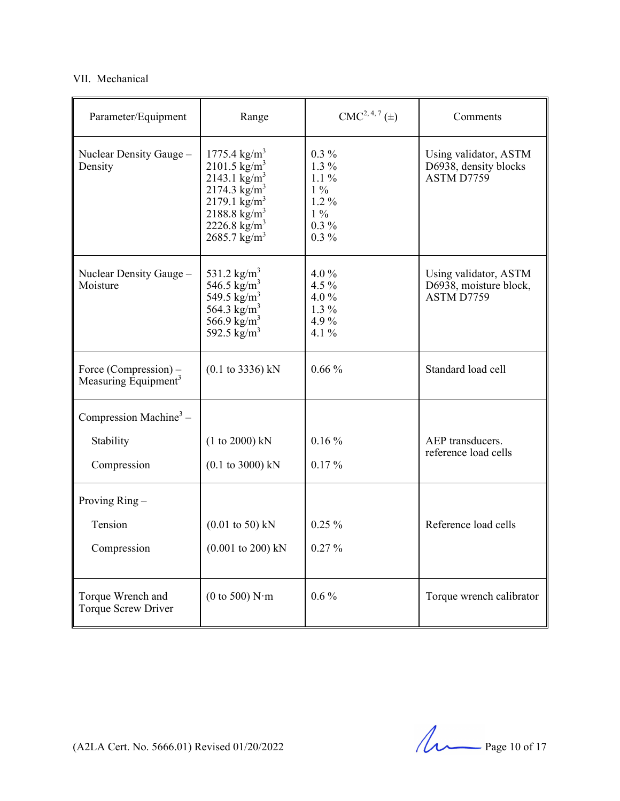#### VII. Mechanical

| Parameter/Equipment                                       | Range                                                                                                                                                                                                              | $CMC2, 4, 7(\pm)$                                                                | Comments                                                      |
|-----------------------------------------------------------|--------------------------------------------------------------------------------------------------------------------------------------------------------------------------------------------------------------------|----------------------------------------------------------------------------------|---------------------------------------------------------------|
| Nuclear Density Gauge -<br>Density                        | $1775.4 \text{ kg/m}^3$<br>$2101.5 \text{ kg/m}^3$<br>2143.1 $\text{kg/m}^3$<br>2174.3 $\text{kg/m}^3$<br>2179.1 $\text{kg/m}^3$<br>$2188.8 \text{ kg/m}^3$<br>2226.8 kg/m <sup>3</sup><br>$2685.7 \text{ kg/m}^3$ | $0.3\%$<br>$1.3\%$<br>$1.1\%$<br>$1\%$<br>$1.2\%$<br>$1\%$<br>$0.3\%$<br>$0.3\%$ | Using validator, ASTM<br>D6938, density blocks<br>ASTM D7759  |
| Nuclear Density Gauge -<br>Moisture                       | 531.2 kg/m <sup>3</sup><br>546.5 $\text{kg/m}^3$<br>549.5 $\text{kg/m}^3$<br>564.3 kg/m <sup>3</sup><br>566.9 kg/m <sup>3</sup><br>592.5 kg/m <sup>3</sup>                                                         | 4.0 $%$<br>4.5 %<br>4.0%<br>$1.3\%$<br>4.9%<br>4.1 $%$                           | Using validator, ASTM<br>D6938, moisture block,<br>ASTM D7759 |
| Force (Compression) –<br>Measuring Equipment <sup>3</sup> | $(0.1 \text{ to } 3336) \text{ kN}$                                                                                                                                                                                | $0.66\%$                                                                         | Standard load cell                                            |
| Compression Machine <sup>3</sup> –                        |                                                                                                                                                                                                                    |                                                                                  |                                                               |
| Stability                                                 | (1 to 2000) kN                                                                                                                                                                                                     | $0.16\%$                                                                         | AEP transducers.                                              |
| Compression                                               | $(0.1 \text{ to } 3000) \text{ kN}$                                                                                                                                                                                | $0.17\%$                                                                         | reference load cells                                          |
| Proving $Ring -$                                          |                                                                                                                                                                                                                    |                                                                                  |                                                               |
| Tension                                                   | $(0.01 \text{ to } 50) \text{ kN}$                                                                                                                                                                                 | $0.25\%$                                                                         | Reference load cells                                          |
| Compression                                               | $(0.001 \text{ to } 200) \text{ kN}$                                                                                                                                                                               | $0.27 \%$                                                                        |                                                               |
| Torque Wrench and<br><b>Torque Screw Driver</b>           | $(0 \text{ to } 500) \text{ N} \cdot \text{m}$                                                                                                                                                                     | $0.6\%$                                                                          | Torque wrench calibrator                                      |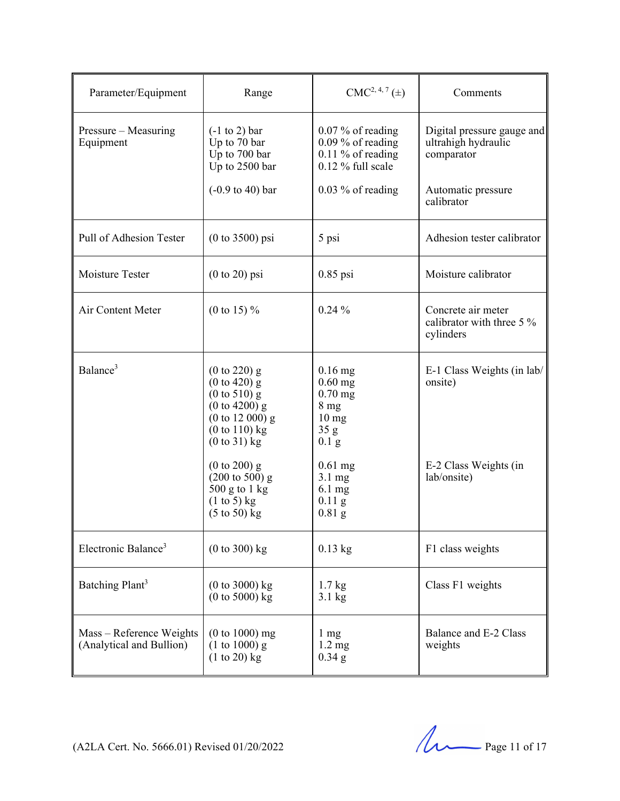| Parameter/Equipment                                  | Range                                                                                                                                             | $CMC2, 4, 7(\pm)$                                                                                                | Comments                                                        |
|------------------------------------------------------|---------------------------------------------------------------------------------------------------------------------------------------------------|------------------------------------------------------------------------------------------------------------------|-----------------------------------------------------------------|
| Pressure – Measuring<br>Equipment                    | $(-1 \text{ to } 2)$ bar<br>Up to 70 bar<br>Up to 700 bar<br>Up to 2500 bar                                                                       | $0.07\%$ of reading<br>$0.09\%$ of reading<br>$0.11\%$ of reading<br>$0.12\%$ full scale                         | Digital pressure gauge and<br>ultrahigh hydraulic<br>comparator |
|                                                      | $(-0.9 \text{ to } 40)$ bar                                                                                                                       | $0.03\%$ of reading                                                                                              | Automatic pressure<br>calibrator                                |
| Pull of Adhesion Tester                              | $(0 to 3500)$ psi                                                                                                                                 | 5 psi                                                                                                            | Adhesion tester calibrator                                      |
| Moisture Tester                                      | $(0 to 20)$ psi                                                                                                                                   | $0.85$ psi                                                                                                       | Moisture calibrator                                             |
| Air Content Meter                                    | (0 to 15) $%$                                                                                                                                     | $0.24\%$                                                                                                         | Concrete air meter<br>calibrator with three 5 %<br>cylinders    |
| Balance <sup>3</sup>                                 | $(0 \text{ to } 220)$ g<br>$(0 to 420)$ g<br>$(0 \text{ to } 510)$ g<br>$(0 to 4200)$ g<br>$(0 to 12 000)$ g<br>$(0 to 110)$ kg<br>$(0 to 31)$ kg | $0.16$ mg<br>$0.60$ mg<br>$0.70$ mg<br>8 <sub>mg</sub><br>$10 \text{ mg}$<br>35 <sub>g</sub><br>0.1 <sub>g</sub> | E-1 Class Weights (in lab/<br>onsite)                           |
|                                                      | $(0 to 200)$ g<br>$(200 \text{ to } 500)$ g<br>500 g to 1 kg<br>$(1 to 5)$ kg<br>$(5 \text{ to } 50)$ kg                                          | $0.61$ mg<br>$3.1 \text{ mg}$<br>6.1 mg<br>$0.11$ g<br>$0.81$ g                                                  | E-2 Class Weights (in<br>lab/onsite)                            |
| Electronic Balance <sup>3</sup>                      | $(0 to 300)$ kg                                                                                                                                   | $0.13$ kg                                                                                                        | F1 class weights                                                |
| Batching Plant <sup>3</sup>                          | $(0 to 3000)$ kg<br>$(0 to 5000)$ kg                                                                                                              | $1.7 \text{ kg}$<br>$3.1 \text{ kg}$                                                                             | Class F1 weights                                                |
| Mass - Reference Weights<br>(Analytical and Bullion) | $(0 to 1000)$ mg<br>$(1 to 1000)$ g<br>$(1 to 20)$ kg                                                                                             | $1 \text{ mg}$<br>$1.2 \text{ mg}$<br>$0.34$ g                                                                   | Balance and E-2 Class<br>weights                                |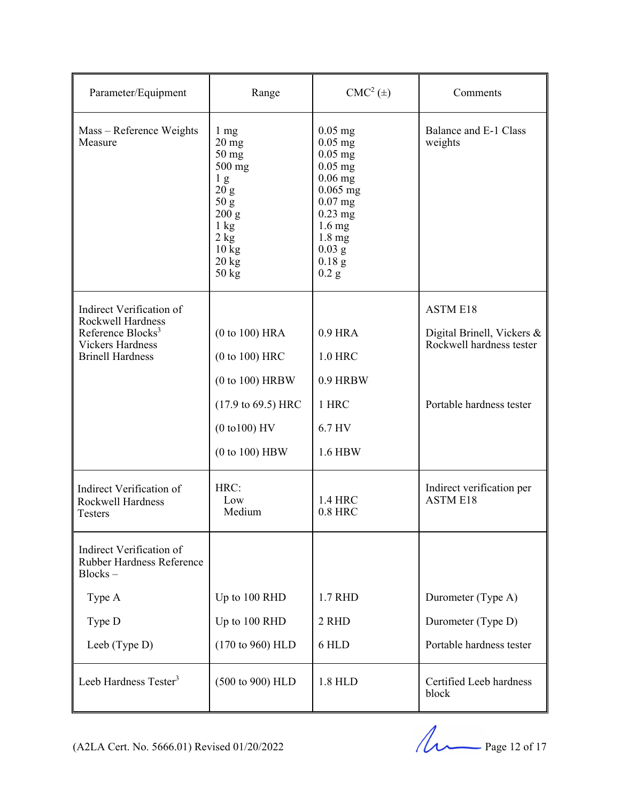| Parameter/Equipment                                                    | Range                                                                                                                                                              | $CMC2(\pm)$                                                                                                                                                                    | Comments                                               |
|------------------------------------------------------------------------|--------------------------------------------------------------------------------------------------------------------------------------------------------------------|--------------------------------------------------------------------------------------------------------------------------------------------------------------------------------|--------------------------------------------------------|
| Mass - Reference Weights<br>Measure                                    | $1 \text{ mg}$<br>$20 \text{ mg}$<br>$50$ mg<br>$500$ mg<br>1 <sub>g</sub><br>20 g<br>50 g<br>200 g<br>$1 \text{ kg}$<br>2 kg<br>$10 \text{ kg}$<br>20 kg<br>50 kg | $0.05$ mg<br>$0.05$ mg<br>$0.05$ mg<br>$0.05$ mg<br>$0.06$ mg<br>$0.065$ mg<br>$0.07$ mg<br>$0.23$ mg<br>$1.6 \text{ mg}$<br>$1.8 \text{ mg}$<br>$0.03$ g<br>$0.18$ g<br>0.2 g | Balance and E-1 Class<br>weights                       |
| Indirect Verification of<br>Rockwell Hardness                          |                                                                                                                                                                    |                                                                                                                                                                                | <b>ASTM E18</b>                                        |
| Reference Blocks <sup>3</sup><br><b>Vickers Hardness</b>               | (0 to 100) HRA                                                                                                                                                     | 0.9 HRA                                                                                                                                                                        | Digital Brinell, Vickers &<br>Rockwell hardness tester |
| <b>Brinell Hardness</b>                                                | $(0 to 100)$ HRC                                                                                                                                                   | 1.0 HRC                                                                                                                                                                        |                                                        |
|                                                                        | $(0 to 100)$ HRBW                                                                                                                                                  | 0.9 HRBW                                                                                                                                                                       |                                                        |
|                                                                        | $(17.9 \text{ to } 69.5) \text{ HRC}$                                                                                                                              | 1 HRC                                                                                                                                                                          | Portable hardness tester                               |
|                                                                        | $(0 to 100)$ HV                                                                                                                                                    | 6.7 HV                                                                                                                                                                         |                                                        |
|                                                                        | $(0 to 100)$ HBW                                                                                                                                                   | 1.6 HBW                                                                                                                                                                        |                                                        |
| Indirect Verification of<br><b>Rockwell Hardness</b><br><b>Testers</b> | HRC:<br>Low<br>Medium                                                                                                                                              | 1.4 HRC<br>$0.8$ HRC                                                                                                                                                           | Indirect verification per<br><b>ASTM E18</b>           |
| Indirect Verification of<br>Rubber Hardness Reference<br>$Blocks -$    |                                                                                                                                                                    |                                                                                                                                                                                |                                                        |
| Type A                                                                 | Up to 100 RHD                                                                                                                                                      | 1.7 RHD                                                                                                                                                                        | Durometer (Type A)                                     |
| Type D                                                                 | Up to 100 RHD                                                                                                                                                      | 2 RHD                                                                                                                                                                          | Durometer (Type D)                                     |
| Leeb (Type D)                                                          | (170 to 960) HLD                                                                                                                                                   | 6 HLD                                                                                                                                                                          | Portable hardness tester                               |
| Leeb Hardness Tester <sup>3</sup>                                      | (500 to 900) HLD                                                                                                                                                   | 1.8 HLD                                                                                                                                                                        | Certified Leeb hardness<br>block                       |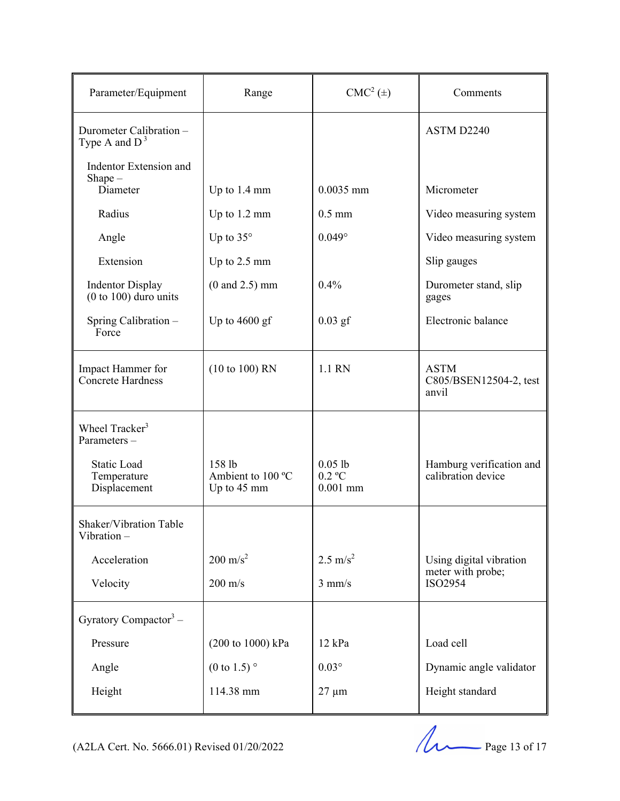| Parameter/Equipment                                | Range                                      | $CMC2(\pm)$                         | Comments                                       |
|----------------------------------------------------|--------------------------------------------|-------------------------------------|------------------------------------------------|
| Durometer Calibration -<br>Type A and $D^3$        |                                            |                                     | ASTM D2240                                     |
| Indentor Extension and<br>$Shape -$                |                                            |                                     |                                                |
| Diameter                                           | Up to 1.4 mm                               | $0.0035$ mm                         | Micrometer                                     |
| Radius                                             | Up to 1.2 mm                               | $0.5$ mm                            | Video measuring system                         |
| Angle                                              | Up to $35^\circ$                           | $0.049^\circ$                       | Video measuring system                         |
| Extension                                          | Up to 2.5 mm                               |                                     | Slip gauges                                    |
| <b>Indentor Display</b><br>$(0 to 100)$ duro units | $(0 \text{ and } 2.5) \text{ mm}$          | 0.4%                                | Durometer stand, slip<br>gages                 |
| Spring Calibration -<br>Force                      | Up to $4600$ gf                            | $0.03$ gf                           | Electronic balance                             |
| Impact Hammer for<br>Concrete Hardness             | $(10 to 100)$ RN                           | 1.1 RN                              | <b>ASTM</b><br>C805/BSEN12504-2, test<br>anvil |
| Wheel Tracker <sup>3</sup><br>Parameters-          |                                            |                                     |                                                |
| <b>Static Load</b><br>Temperature<br>Displacement  | 158 lb<br>Ambient to 100 °C<br>Up to 45 mm | $0.05$ lb<br>$0.2$ °C<br>$0.001$ mm | Hamburg verification and<br>calibration device |
| Shaker/Vibration Table<br>Vibration-               |                                            |                                     |                                                |
| Acceleration                                       | $200 \text{ m/s}^2$                        | $2.5 \text{ m/s}^2$                 | Using digital vibration                        |
| Velocity                                           | $200 \text{ m/s}$                          | $3$ mm/s                            | meter with probe;<br>ISO2954                   |
| Gyratory Compactor <sup>3</sup> –                  |                                            |                                     |                                                |
| Pressure                                           | (200 to 1000) kPa                          | $12$ kPa                            | Load cell                                      |
| Angle                                              | $(0 \text{ to } 1.5)$ °                    | $0.03^\circ$                        | Dynamic angle validator                        |
| Height                                             | 114.38 mm                                  | $27 \mu m$                          | Height standard                                |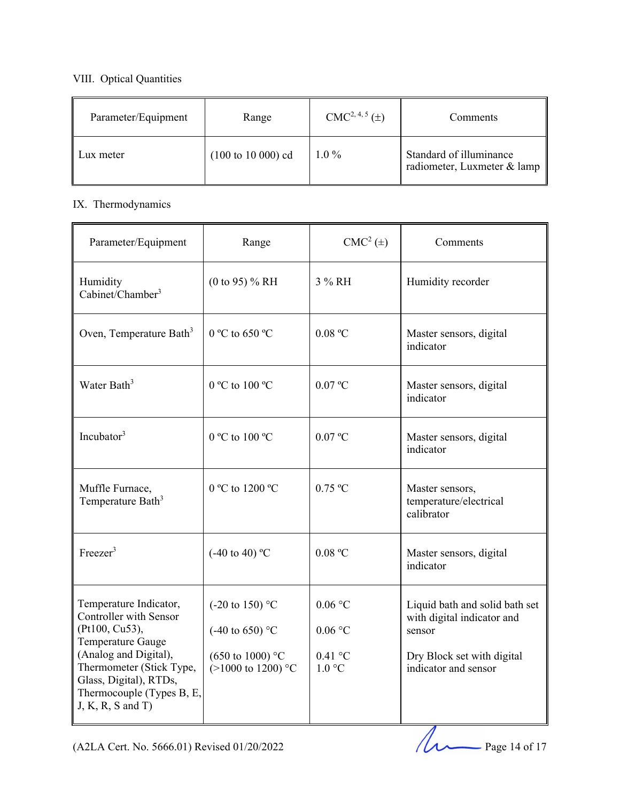#### VIII. Optical Quantities

| Parameter/Equipment | Range                        | $CMC2, 4, 5(\pm)$ | Comments                                               |
|---------------------|------------------------------|-------------------|--------------------------------------------------------|
| Lux meter           | $(100 \text{ to } 10000)$ cd | $1.0\%$           | Standard of illuminance<br>radiometer, Luxmeter & lamp |

#### IX. Thermodynamics

| Parameter/Equipment                                                                                                                                                                                                               | Range                                                                                                                    | $CMC2(\pm)$                                 | Comments                                                                                                                     |
|-----------------------------------------------------------------------------------------------------------------------------------------------------------------------------------------------------------------------------------|--------------------------------------------------------------------------------------------------------------------------|---------------------------------------------|------------------------------------------------------------------------------------------------------------------------------|
| Humidity<br>Cabinet/Chamber <sup>3</sup>                                                                                                                                                                                          | $(0 \text{ to } 95)$ % RH                                                                                                | 3 % RH                                      | Humidity recorder                                                                                                            |
| Oven, Temperature Bath <sup>3</sup>                                                                                                                                                                                               | $0^{\circ}$ C to 650 $^{\circ}$ C                                                                                        | 0.08 °C                                     | Master sensors, digital<br>indicator                                                                                         |
| Water Bath <sup>3</sup>                                                                                                                                                                                                           | 0 °C to 100 °C                                                                                                           | $0.07 \text{ °C}$                           | Master sensors, digital<br>indicator                                                                                         |
| Incubator <sup>3</sup>                                                                                                                                                                                                            | 0 °C to 100 °C                                                                                                           | $0.07 \text{ °C}$                           | Master sensors, digital<br>indicator                                                                                         |
| Muffle Furnace,<br>Temperature Bath <sup>3</sup>                                                                                                                                                                                  | 0 °C to 1200 °C                                                                                                          | $0.75$ °C                                   | Master sensors,<br>temperature/electrical<br>calibrator                                                                      |
| Freeze <sup>3</sup>                                                                                                                                                                                                               | $(-40 \text{ to } 40)$ °C                                                                                                | 0.08 °C                                     | Master sensors, digital<br>indicator                                                                                         |
| Temperature Indicator,<br><b>Controller with Sensor</b><br>(Pt100, Cu53),<br>Temperature Gauge<br>(Analog and Digital),<br>Thermometer (Stick Type,<br>Glass, Digital), RTDs,<br>Thermocouple (Types B, E,<br>$J, K, R, S$ and T) | $(-20 \text{ to } 150)$ °C<br>$(-40 \text{ to } 650)$ °C<br>$(650 \text{ to } 1000)$ °C<br>$(>1000 \text{ to } 1200)$ °C | 0.06 °C<br>$0.06$ °C<br>$0.41$ °C<br>1.0 °C | Liquid bath and solid bath set<br>with digital indicator and<br>sensor<br>Dry Block set with digital<br>indicator and sensor |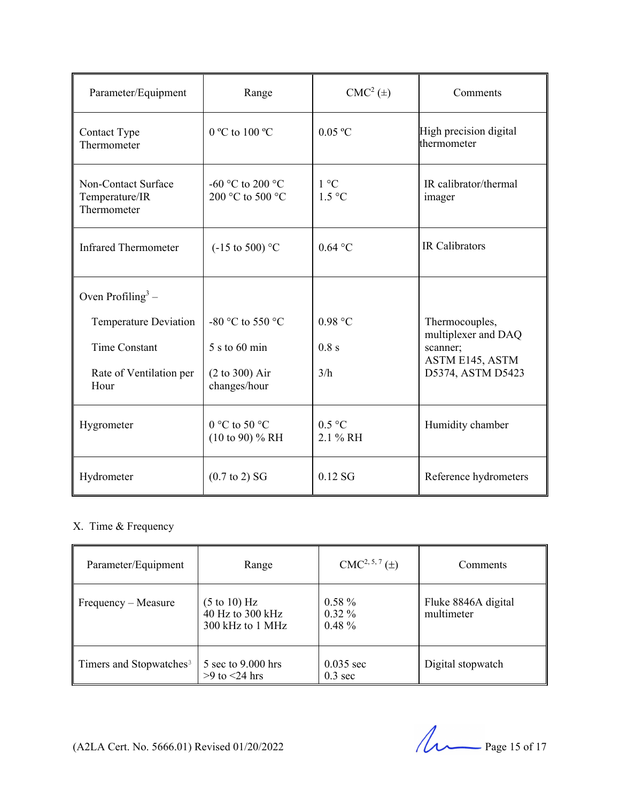| Parameter/Equipment                                  | Range                                       | $\text{CMC}^2\left(\pm\right)$ | Comments                              |
|------------------------------------------------------|---------------------------------------------|--------------------------------|---------------------------------------|
| Contact Type<br>Thermometer                          | 0 °C to 100 °C                              | 0.05 °C                        | High precision digital<br>thermometer |
| Non-Contact Surface<br>Temperature/IR<br>Thermometer | -60 °C to 200 °C<br>200 °C to 500 °C        | 1 °C<br>$1.5^{\circ}$ C        | IR calibrator/thermal<br>imager       |
| <b>Infrared Thermometer</b>                          | $(-15 \text{ to } 500)$ °C                  | $0.64$ °C                      | <b>IR Calibrators</b>                 |
| Oven Profiling <sup>3</sup> –                        |                                             |                                |                                       |
| Temperature Deviation                                | -80 °C to 550 °C                            | 0.98 °C                        | Thermocouples,<br>multiplexer and DAQ |
| <b>Time Constant</b>                                 | 5 s to 60 min                               | 0.8 s                          | scanner;<br>ASTM E145, ASTM           |
| Rate of Ventilation per<br>Hour                      | (2 to 300) Air<br>changes/hour              | 3/h                            | D5374, ASTM D5423                     |
| Hygrometer                                           | 0 °C to 50 °C<br>$(10 \text{ to } 90)$ % RH | 0.5 °C<br>2.1 % RH             | Humidity chamber                      |
| Hydrometer                                           | $(0.7 \text{ to } 2)$ SG                    | $0.12$ SG                      | Reference hydrometers                 |

### X. Time & Frequency

| Parameter/Equipment                 | Range                                                           | $CMC2, 5, 7(\pm)$                  | Comments                          |
|-------------------------------------|-----------------------------------------------------------------|------------------------------------|-----------------------------------|
| Frequency – Measure                 | $(5 \text{ to } 10)$ Hz<br>40 Hz to 300 kHz<br>300 kHz to 1 MHz | $0.58 \%$<br>$0.32\%$<br>$0.48 \%$ | Fluke 8846A digital<br>multimeter |
| Timers and Stopwatches <sup>3</sup> | 5 sec to $9.000$ hrs<br>$>9$ to $<$ 24 hrs                      | $0.035$ sec<br>$0.3 \text{ sec}$   | Digital stopwatch                 |

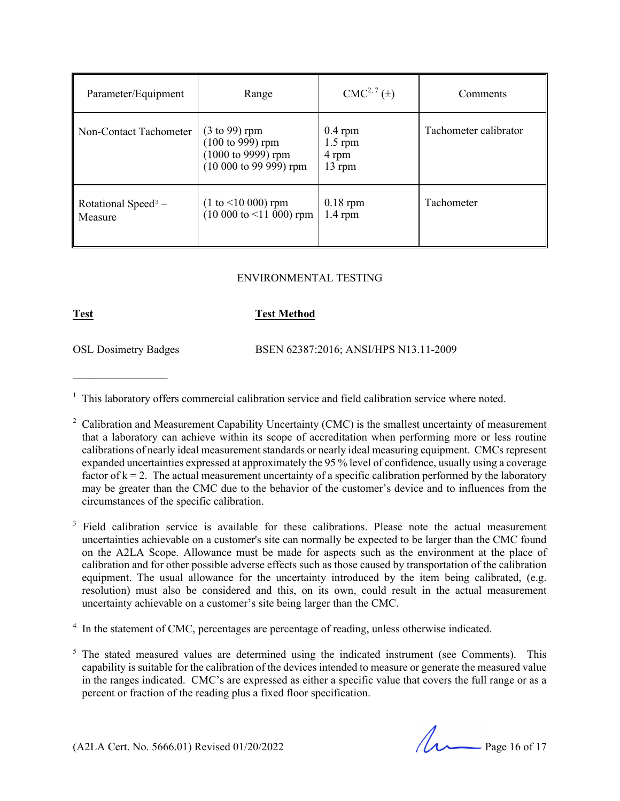| Parameter/Equipment                        | Range                                                                                                                             | $CMC2, 7(\pm)$                              | Comments              |
|--------------------------------------------|-----------------------------------------------------------------------------------------------------------------------------------|---------------------------------------------|-----------------------|
| Non-Contact Tachometer                     | $(3 \text{ to } 99)$ rpm<br>$(100 \text{ to } 999) \text{ rpm}$<br>$(1000 \text{ to } 9999) \text{ rpm}$<br>$(10000 to 9999)$ rpm | $0.4$ rpm<br>$1.5$ rpm<br>4 rpm<br>$13$ rpm | Tachometer calibrator |
| Rotational Speed <sup>3</sup> –<br>Measure | $(1 to < 10000)$ rpm<br>$(10 000$ to $\leq 11 000$ ) rpm                                                                          | $0.18$ rpm<br>$1.4$ rpm                     | Tachometer            |

#### ENVIRONMENTAL TESTING

#### **Test Test Method**

 $\mathcal{L}_\text{max}$ 

OSL Dosimetry Badges BSEN 62387:2016; ANSI/HPS N13.11-2009

<sup>1</sup> This laboratory offers commercial calibration service and field calibration service where noted.

3 Field calibration service is available for these calibrations. Please note the actual measurement uncertainties achievable on a customer's site can normally be expected to be larger than the CMC found on the A2LA Scope. Allowance must be made for aspects such as the environment at the place of calibration and for other possible adverse effects such as those caused by transportation of the calibration equipment. The usual allowance for the uncertainty introduced by the item being calibrated, (e.g. resolution) must also be considered and this, on its own, could result in the actual measurement uncertainty achievable on a customer's site being larger than the CMC.

<sup>4</sup> In the statement of CMC, percentages are percentage of reading, unless otherwise indicated.

 $5$  The stated measured values are determined using the indicated instrument (see Comments). This capability is suitable for the calibration of the devices intended to measure or generate the measured value in the ranges indicated. CMC's are expressed as either a specific value that covers the full range or as a percent or fraction of the reading plus a fixed floor specification.

(A2LA Cert. No. 5666.01) Revised 01/20/2022 Page 16 of 17

<sup>&</sup>lt;sup>2</sup> Calibration and Measurement Capability Uncertainty (CMC) is the smallest uncertainty of measurement that a laboratory can achieve within its scope of accreditation when performing more or less routine calibrations of nearly ideal measurement standards or nearly ideal measuring equipment. CMCs represent expanded uncertainties expressed at approximately the 95 % level of confidence, usually using a coverage factor of  $k = 2$ . The actual measurement uncertainty of a specific calibration performed by the laboratory may be greater than the CMC due to the behavior of the customer's device and to influences from the circumstances of the specific calibration.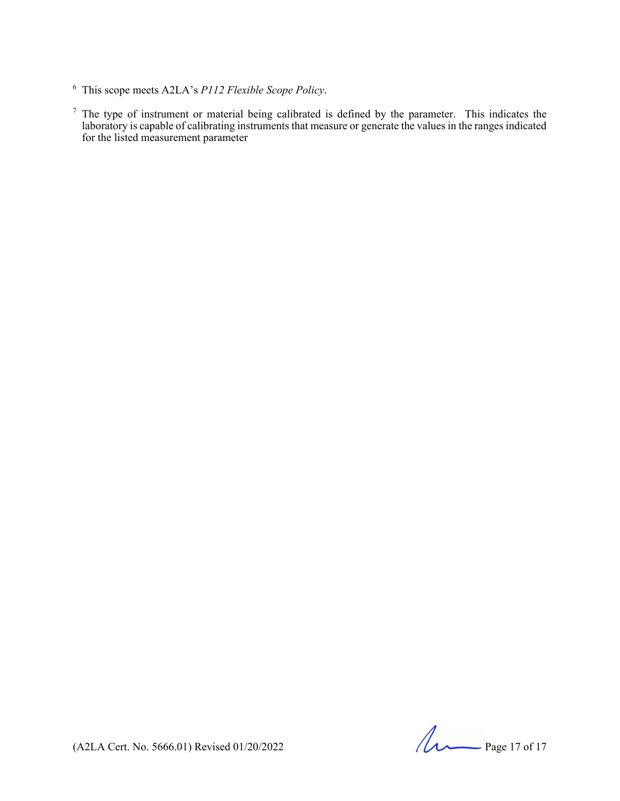(A2LA Cert. No. 5666.01) Revised 01/20/2022 Page 17 of 17

<sup>6</sup> This scope meets A2LA's *P112 Flexible Scope Policy*.

 $<sup>7</sup>$  The type of instrument or material being calibrated is defined by the parameter. This indicates the</sup> laboratory is capable of calibrating instruments that measure or generate the values in the ranges indicated for the listed measurement parameter